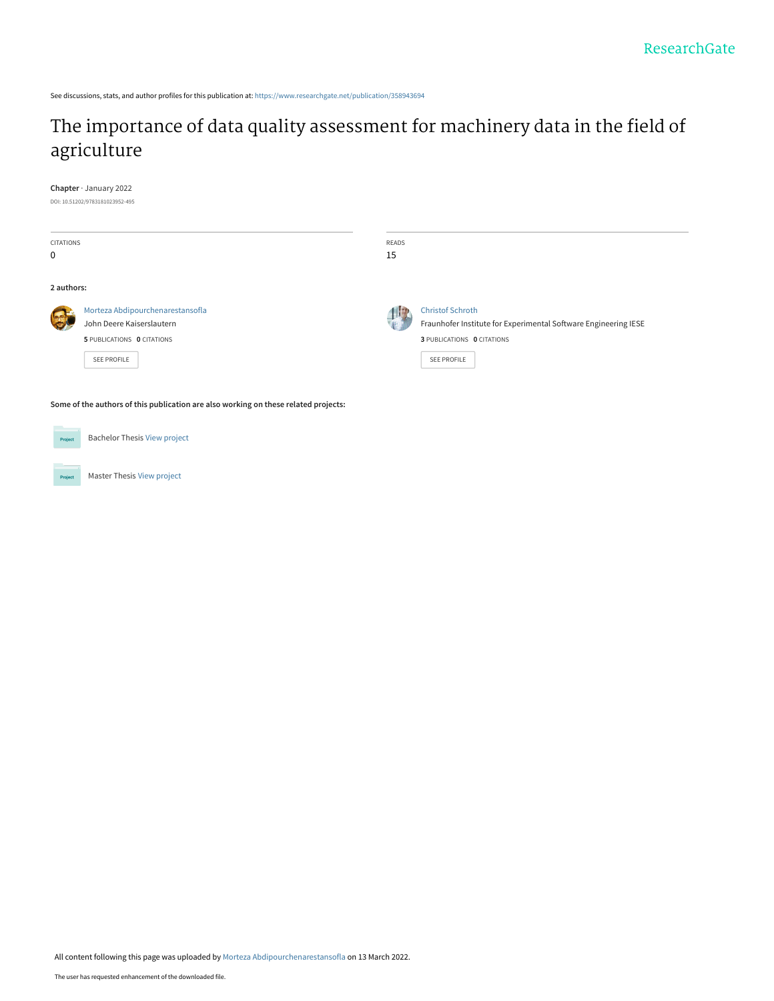See discussions, stats, and author profiles for this publication at: [https://www.researchgate.net/publication/358943694](https://www.researchgate.net/publication/358943694_The_importance_of_data_quality_assessment_for_machinery_data_in_the_field_of_agriculture?enrichId=rgreq-d3f1af2ce709ddb4cb4da904a5d19da9-XXX&enrichSource=Y292ZXJQYWdlOzM1ODk0MzY5NDtBUzoxMTMyOTYyODc1NzQwMTYwQDE2NDcxMzA4MDczOTc%3D&el=1_x_2&_esc=publicationCoverPdf)

# [The importance of data quality assessment for machinery data in the field of](https://www.researchgate.net/publication/358943694_The_importance_of_data_quality_assessment_for_machinery_data_in_the_field_of_agriculture?enrichId=rgreq-d3f1af2ce709ddb4cb4da904a5d19da9-XXX&enrichSource=Y292ZXJQYWdlOzM1ODk0MzY5NDtBUzoxMTMyOTYyODc1NzQwMTYwQDE2NDcxMzA4MDczOTc%3D&el=1_x_3&_esc=publicationCoverPdf) agriculture

# **Chapter** · January 2022

DOI: 10.51202/9783181023952-495

| <b>CITATIONS</b><br>$\mathbf 0$ |                                                                                                            | READS<br>15 |                                                                                                                                         |
|---------------------------------|------------------------------------------------------------------------------------------------------------|-------------|-----------------------------------------------------------------------------------------------------------------------------------------|
| 2 authors:                      |                                                                                                            |             |                                                                                                                                         |
|                                 | Morteza Abdipourchenarestansofla<br>John Deere Kaiserslautern<br>5 PUBLICATIONS 0 CITATIONS<br>SEE PROFILE |             | <b>Christof Schroth</b><br>Fraunhofer Institute for Experimental Software Engineering IESE<br>3 PUBLICATIONS 0 CITATIONS<br>SEE PROFILE |

**Some of the authors of this publication are also working on these related projects:**

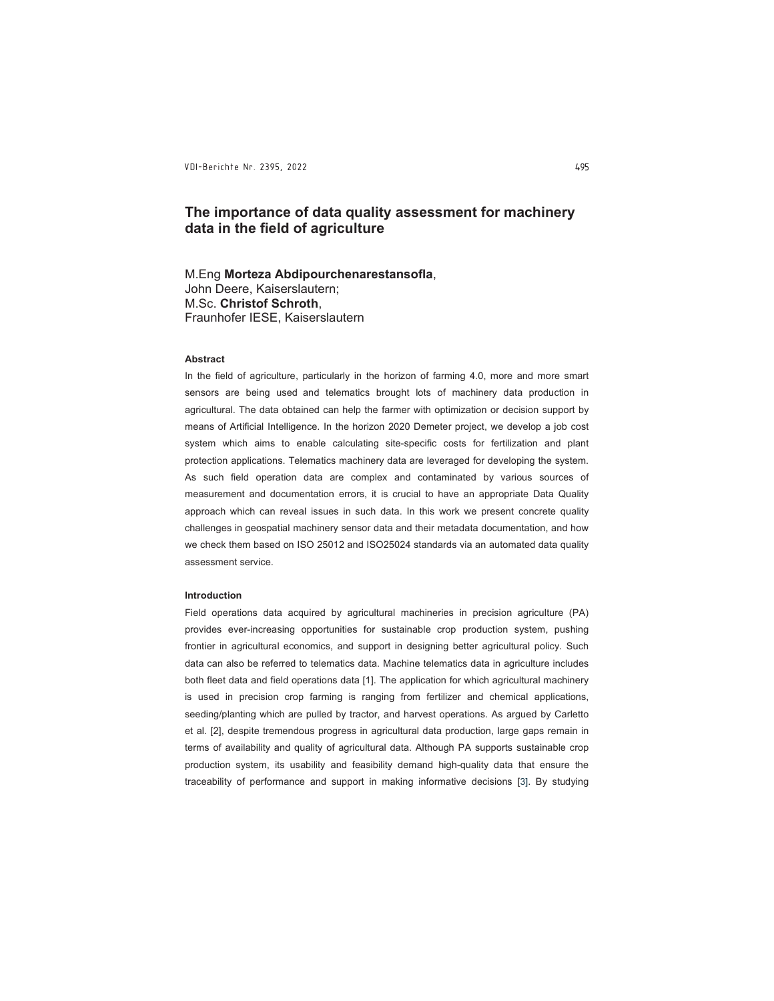# The importance of data quality assessment for machinery data in the field of agriculture

M.Eng **Morteza Abdipourchenarestansofla**,<br>John Deere, Kaiserslautern; M.Sc. **Christof Schroth**,<br>Fraunhofer IESE, Kaiserslautern

# **Abstract**

In the field of agriculture, particularly in the horizon of farming 4.0, more and more smart sensors are being used and telematics brought lots of machinery data production in agricultural. The data obtained can help the farmer with optimization or decision support by means of Artificial Intelligence. In the horizon 2020 Demeter project, we develop a job cost system which aims to enable calculating site-specific costs for fertilization and plant protection applications. Telematics machinery data are leveraged for developing the system. As such field operation data are complex and contaminated by various sources of measurement and documentation errors, it is crucial to have an appropriate Data Quality approach which can reveal issues in such data. In this work we present concrete quality challenges in geospatial machinery sensor data and their metadata documentation, and how we check them based on ISO 25012 and ISO25024 standards via an automated data quality assessment service.

# Introduction

Field operations data acquired by agricultural machineries in precision agriculture (PA) provides ever-increasing opportunities for sustainable crop production system, pushing frontier in agricultural economics, and support in designing better agricultural policy. Such data can also be referred to telematics data. Machine telematics data in agriculture includes both fleet data and field operations data [1]. The application for which agricultural machinery is used in precision crop farming is ranging from fertilizer and chemical applications, seeding/planting which are pulled by tractor, and harvest operations. As argued by Carletto et al. [2], despite tremendous progress in agricultural data production, large gaps remain in terms of availability and quality of agricultural data. Although PA supports sustainable crop production system, its usability and feasibility demand high-quality data that ensure the traceability of performance and support in making informative decisions [3]. By studying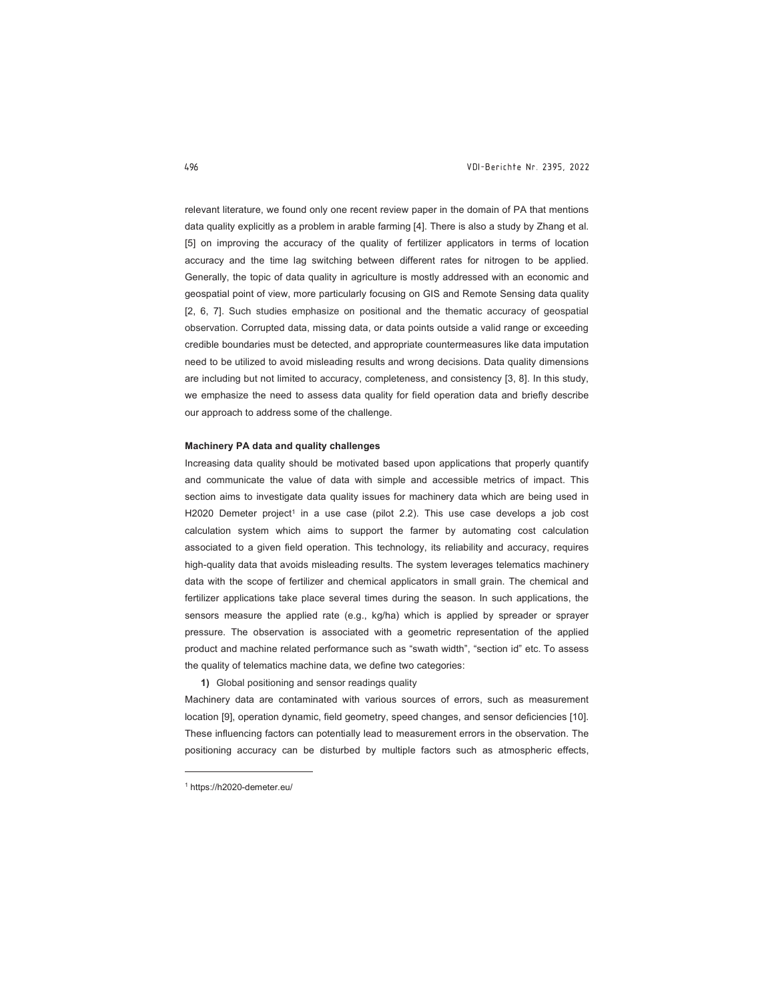relevant literature, we found only one recent review paper in the domain of PA that mentions data quality explicitly as a problem in arable farming [4]. There is also a study by Zhang et al. [5] on improving the accuracy of the quality of fertilizer applicators in terms of location accuracy and the time lag switching between different rates for nitrogen to be applied. Generally, the topic of data quality in agriculture is mostly addressed with an economic and geospatial point of view, more particularly focusing on GIS and Remote Sensing data quality [2, 6, 7]. Such studies emphasize on positional and the thematic accuracy of geospatial observation. Corrupted data, missing data, or data points outside a valid range or exceeding credible boundaries must be detected, and appropriate countermeasures like data imputation need to be utilized to avoid misleading results and wrong decisions. Data quality dimensions are including but not limited to accuracy, completeness, and consistency [3, 8]. In this study, we emphasize the need to assess data quality for field operation data and briefly describe our approach to address some of the challenge.

#### Machinery PA data and quality challenges

Increasing data quality should be motivated based upon applications that properly quantify and communicate the value of data with simple and accessible metrics of impact. This section aims to investigate data quality issues for machinery data which are being used in H2020 Demeter project<sup>1</sup> in a use case (pilot 2.2). This use case develops a job cost calculation system which aims to support the farmer by automating cost calculation associated to a given field operation. This technology, its reliability and accuracy, requires high-quality data that avoids misleading results. The system leverages telematics machinery data with the scope of fertilizer and chemical applicators in small grain. The chemical and fertilizer applications take place several times during the season. In such applications, the sensors measure the applied rate (e.g., kg/ha) which is applied by spreader or sprayer pressure. The observation is associated with a geometric representation of the applied product and machine related performance such as "swath width", "section id" etc. To assess the quality of telematics machine data, we define two categories:

1) Global positioning and sensor readings quality

Machinery data are contaminated with various sources of errors, such as measurement location [9], operation dynamic, field geometry, speed changes, and sensor deficiencies [10]. These influencing factors can potentially lead to measurement errors in the observation. The positioning accuracy can be disturbed by multiple factors such as atmospheric effects,

 <sup>1</sup> https://h2020-demeter.eu/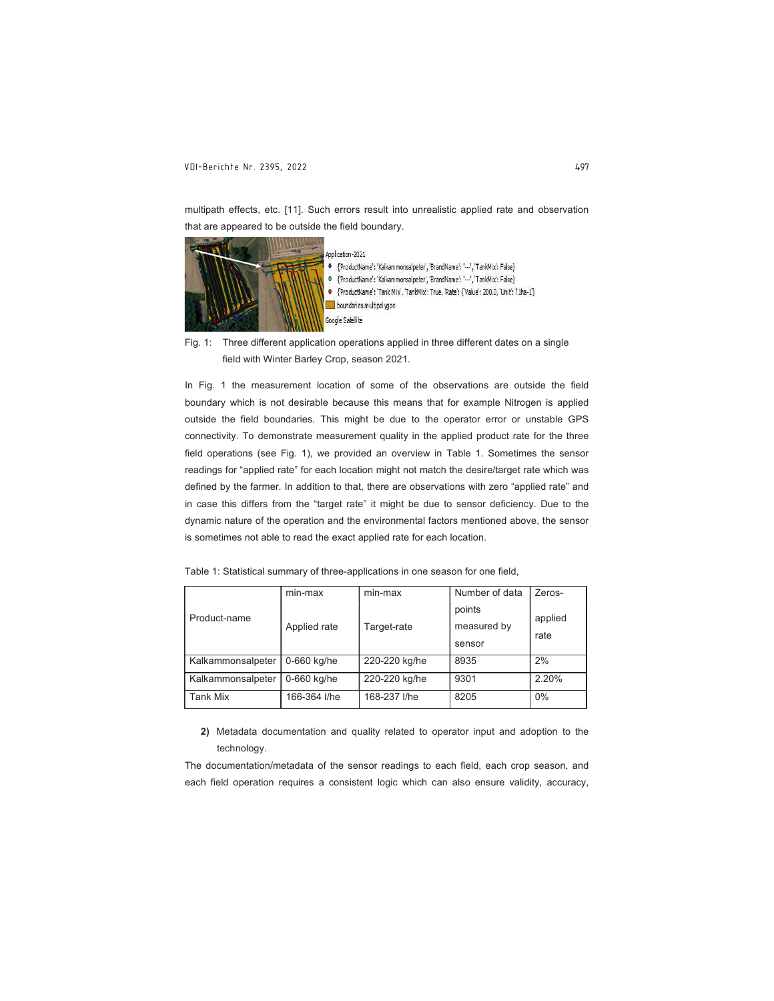multipath effects, etc. [11]. Such errors result into unrealistic applied rate and observation that are appeared to be outside the field boundary.



Fig. 1: Three different application operations applied in three different dates on a single field with Winter Barley Crop, season 2021.

In Fig. 1 the measurement location of some of the observations are outside the field boundary which is not desirable because this means that for example Nitrogen is applied outside the field boundaries. This might be due to the operator error or unstable GPS connectivity. To demonstrate measurement quality in the applied product rate for the three field operations (see Fig. 1), we provided an overview in Table 1. Sometimes the sensor readings for "applied rate" for each location might not match the desire/target rate which was defined by the farmer. In addition to that, there are observations with zero "applied rate" and in case this differs from the "target rate" it might be due to sensor deficiency. Due to the dynamic nature of the operation and the environmental factors mentioned above, the sensor is sometimes not able to read the exact applied rate for each location.

|                   | min-max      | min-max       | Number of data                  | Zeros-          |
|-------------------|--------------|---------------|---------------------------------|-----------------|
| Product-name      | Applied rate | Target-rate   | points<br>measured by<br>sensor | applied<br>rate |
| Kalkammonsalpeter | 0-660 kg/he  | 220-220 kg/he | 8935                            | 2%              |
| Kalkammonsalpeter | 0-660 kg/he  | 220-220 kg/he | 9301                            | 2.20%           |
| Tank Mix          | 166-364 l/he | 168-237 l/he  | 8205                            | 0%              |

Table 1: Statistical summary of three-applications in one season for one field,

2) Metadata documentation and quality related to operator input and adoption to the technology.

The documentation/metadata of the sensor readings to each field, each crop season, and each field operation requires a consistent logic which can also ensure validity, accuracy,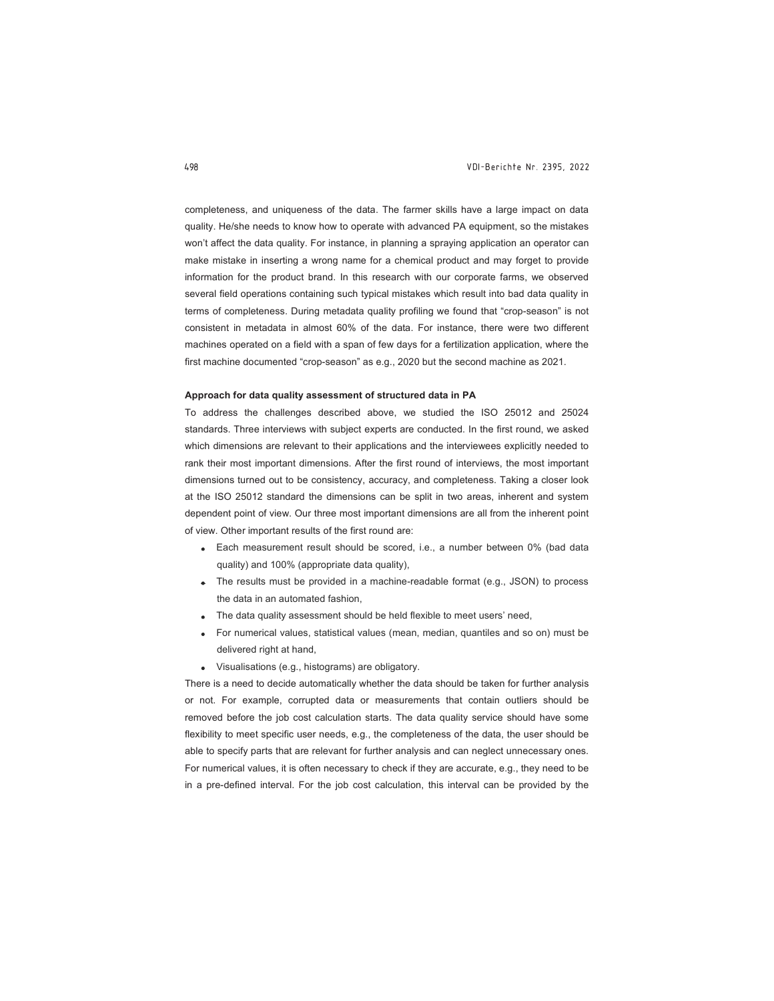completeness, and uniqueness of the data. The farmer skills have a large impact on data quality. He/she needs to know how to operate with advanced PA equipment, so the mistakes won't affect the data quality. For instance, in planning a spraying application an operator can make mistake in inserting a wrong name for a chemical product and may forget to provide information for the product brand. In this research with our corporate farms, we observed several field operations containing such typical mistakes which result into bad data quality in terms of completeness. During metadata quality profiling we found that "crop-season" is not consistent in metadata in almost 60% of the data. For instance, there were two different machines operated on a field with a span of few days for a fertilization application, where the first machine documented "crop-season" as e.g., 2020 but the second machine as 2021.

#### Approach for data quality assessment of structured data in PA

To address the challenges described above, we studied the ISO 25012 and 25024 standards. Three interviews with subject experts are conducted. In the first round, we asked which dimensions are relevant to their applications and the interviewees explicitly needed to rank their most important dimensions. After the first round of interviews, the most important dimensions turned out to be consistency, accuracy, and completeness. Taking a closer look at the ISO 25012 standard the dimensions can be split in two areas, inherent and system dependent point of view. Our three most important dimensions are all from the inherent point of view. Other important results of the first round are:

- Each measurement result should be scored, i.e., a number between 0% (bad data quality) and 100% (appropriate data quality),
- The results must be provided in a machine-readable format (e.g., JSON) to process the data in an automated fashion,
- The data quality assessment should be held flexible to meet users' need,
- For numerical values, statistical values (mean, median, quantiles and so on) must be delivered right at hand,
- Visualisations (e.g., histograms) are obligatory.

There is a need to decide automatically whether the data should be taken for further analysis or not. For example, corrupted data or measurements that contain outliers should be removed before the job cost calculation starts. The data quality service should have some flexibility to meet specific user needs, e.g., the completeness of the data, the user should be able to specify parts that are relevant for further analysis and can neglect unnecessary ones. For numerical values, it is often necessary to check if they are accurate, e.g., they need to be in a pre-defined interval. For the job cost calculation, this interval can be provided by the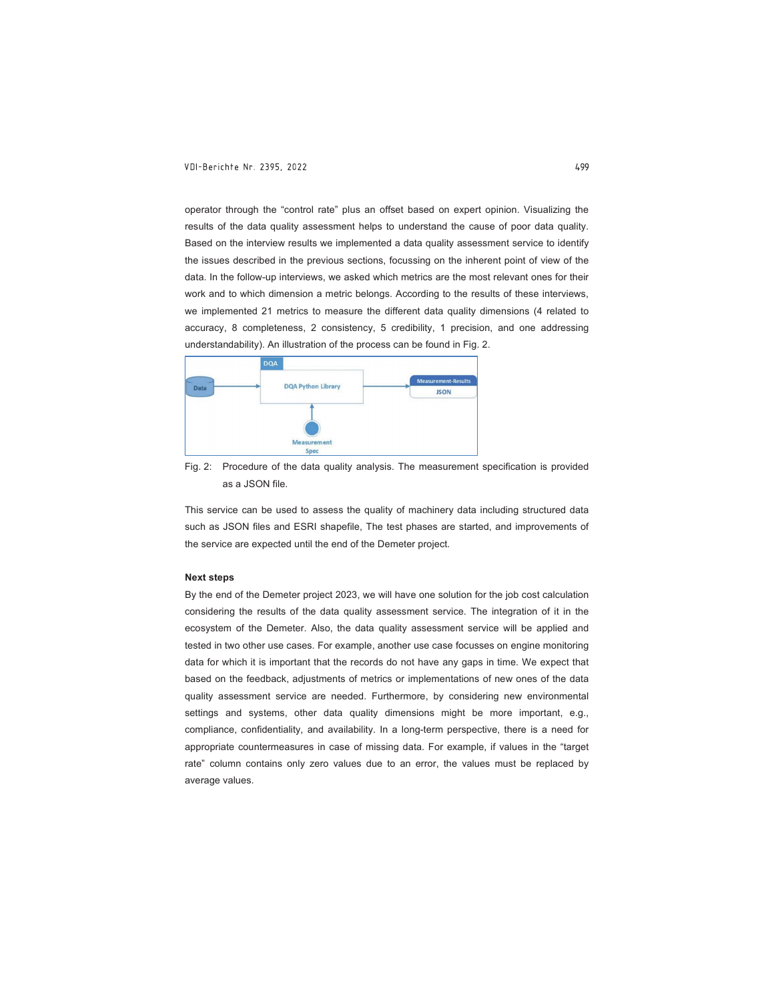operator through the "control rate" plus an offset based on expert opinion. Visualizing the results of the data quality assessment helps to understand the cause of poor data quality. Based on the interview results we implemented a data quality assessment service to identify the issues described in the previous sections, focussing on the inherent point of view of the data. In the follow-up interviews, we asked which metrics are the most relevant ones for their work and to which dimension a metric belongs. According to the results of these interviews, we implemented 21 metrics to measure the different data quality dimensions (4 related to accuracy, 8 completeness, 2 consistency, 5 credibility, 1 precision, and one addressing understandability). An illustration of the process can be found in Fig. 2.



Fig. 2: Procedure of the data quality analysis. The measurement specification is provided as a JSON file.

This service can be used to assess the quality of machinery data including structured data such as JSON files and ESRI shapefile, The test phases are started, and improvements of the service are expected until the end of the Demeter project.

# Next steps

By the end of the Demeter project 2023, we will have one solution for the job cost calculation considering the results of the data quality assessment service. The integration of it in the ecosystem of the Demeter. Also, the data quality assessment service will be applied and tested in two other use cases. For example, another use case focusses on engine monitoring data for which it is important that the records do not have any gaps in time. We expect that based on the feedback, adjustments of metrics or implementations of new ones of the data quality assessment service are needed. Furthermore, by considering new environmental settings and systems, other data quality dimensions might be more important, e.g., compliance, confidentiality, and availability. In a long-term perspective, there is a need for appropriate countermeasures in case of missing data. For example, if values in the "target rate" column contains only zero values due to an error, the values must be replaced by average values.